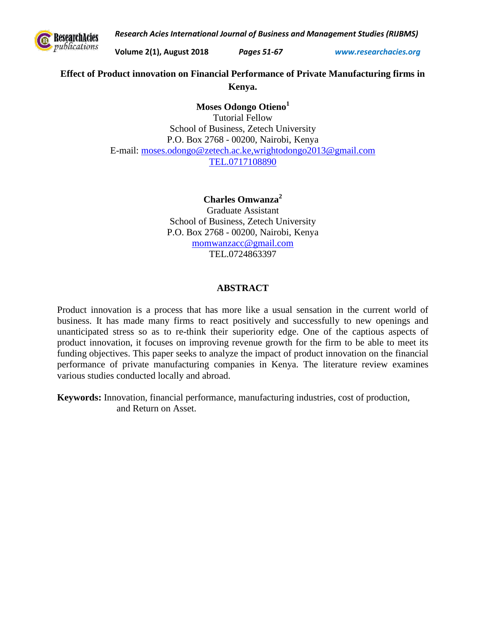*Research Acies International Journal of Business and Management Studies (RIJBMS)* 



**Volume 2(1), August 2018** *Pages 51-67 www.researchacies.org*

# **Effect of Product innovation on Financial Performance of Private Manufacturing firms in Kenya.**

## **Moses Odongo Otieno<sup>1</sup>**

Tutorial Fellow School of Business, Zetech University P.O. Box 2768 - 00200, Nairobi, Kenya E-mail: [moses.odongo@zetech.ac.ke,wrightodongo2013@gmail.com](mailto:moses.odongo@zetech.ac.ke,wrightodongo2013@gmail.com) TEL.0717108890

## **Charles Omwanza<sup>2</sup>**

Graduate Assistant School of Business, Zetech University P.O. Box 2768 - 00200, Nairobi, Kenya [momwanzacc@gmail.com](mailto:momwanzacc@gmail.com) TEL.0724863397

## **ABSTRACT**

Product innovation is a process that has more like a usual sensation in the current world of business. It has made many firms to react positively and successfully to new openings and unanticipated stress so as to re-think their superiority edge. One of the captious aspects of product innovation, it focuses on improving revenue growth for the firm to be able to meet its funding objectives. This paper seeks to analyze the impact of product innovation on the financial performance of private manufacturing companies in Kenya. The literature review examines various studies conducted locally and abroad.

**Keywords:** Innovation, financial performance, manufacturing industries, cost of production, and Return on Asset.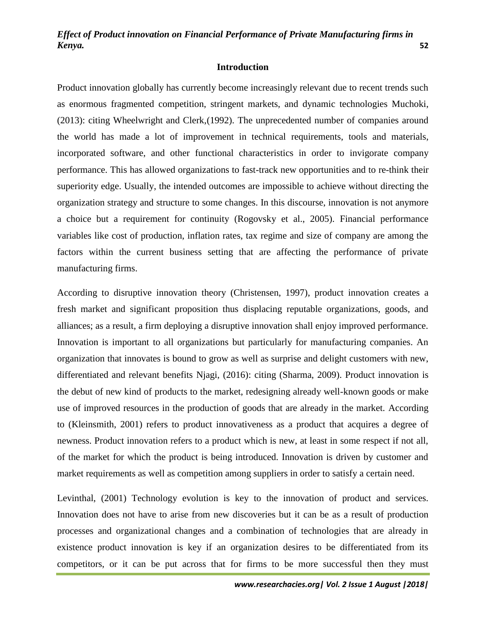### **Introduction**

Product innovation globally has currently become increasingly relevant due to recent trends such as enormous fragmented competition, stringent markets, and dynamic technologies Muchoki, (2013): citing Wheelwright and Clerk,(1992). The unprecedented number of companies around the world has made a lot of improvement in technical requirements, tools and materials, incorporated software, and other functional characteristics in order to invigorate company performance. This has allowed organizations to fast-track new opportunities and to re-think their superiority edge. Usually, the intended outcomes are impossible to achieve without directing the organization strategy and structure to some changes. In this discourse, innovation is not anymore a choice but a requirement for continuity (Rogovsky et al., 2005). Financial performance variables like cost of production, inflation rates, tax regime and size of company are among the factors within the current business setting that are affecting the performance of private manufacturing firms.

According to disruptive innovation theory (Christensen, 1997), product innovation creates a fresh market and significant proposition thus displacing reputable organizations, goods, and alliances; as a result, a firm deploying a disruptive innovation shall enjoy improved performance. Innovation is important to all organizations but particularly for manufacturing companies. An organization that innovates is bound to grow as well as surprise and delight customers with new, differentiated and relevant benefits Njagi, (2016): citing (Sharma, 2009). Product innovation is the debut of new kind of products to the market, redesigning already well-known goods or make use of improved resources in the production of goods that are already in the market. According to (Kleinsmith, 2001) refers to product innovativeness as a product that acquires a degree of newness. Product innovation refers to a product which is new, at least in some respect if not all, of the market for which the product is being introduced. Innovation is driven by customer and market requirements as well as competition among suppliers in order to satisfy a certain need.

Levinthal, (2001) Technology evolution is key to the innovation of product and services. Innovation does not have to arise from new discoveries but it can be as a result of production processes and organizational changes and a combination of technologies that are already in existence product innovation is key if an organization desires to be differentiated from its competitors, or it can be put across that for firms to be more successful then they must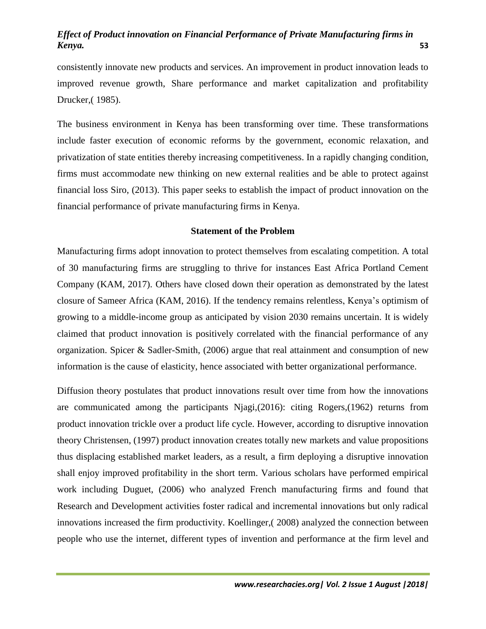consistently innovate new products and services. An improvement in product innovation leads to improved revenue growth, Share performance and market capitalization and profitability Drucker,( 1985).

The business environment in Kenya has been transforming over time. These transformations include faster execution of economic reforms by the government, economic relaxation, and privatization of state entities thereby increasing competitiveness. In a rapidly changing condition, firms must accommodate new thinking on new external realities and be able to protect against financial loss Siro, (2013). This paper seeks to establish the impact of product innovation on the financial performance of private manufacturing firms in Kenya.

### **Statement of the Problem**

Manufacturing firms adopt innovation to protect themselves from escalating competition. A total of 30 manufacturing firms are struggling to thrive for instances East Africa Portland Cement Company (KAM, 2017). Others have closed down their operation as demonstrated by the latest closure of Sameer Africa (KAM, 2016). If the tendency remains relentless, Kenya's optimism of growing to a middle-income group as anticipated by vision 2030 remains uncertain. It is widely claimed that product innovation is positively correlated with the financial performance of any organization. Spicer & Sadler-Smith, (2006) argue that real attainment and consumption of new information is the cause of elasticity, hence associated with better organizational performance.

Diffusion theory postulates that product innovations result over time from how the innovations are communicated among the participants Njagi,(2016): citing Rogers,(1962) returns from product innovation trickle over a product life cycle. However, according to disruptive innovation theory Christensen, (1997) product innovation creates totally new markets and value propositions thus displacing established market leaders, as a result, a firm deploying a disruptive innovation shall enjoy improved profitability in the short term. Various scholars have performed empirical work including Duguet, (2006) who analyzed French manufacturing firms and found that Research and Development activities foster radical and incremental innovations but only radical innovations increased the firm productivity. Koellinger,( 2008) analyzed the connection between people who use the internet, different types of invention and performance at the firm level and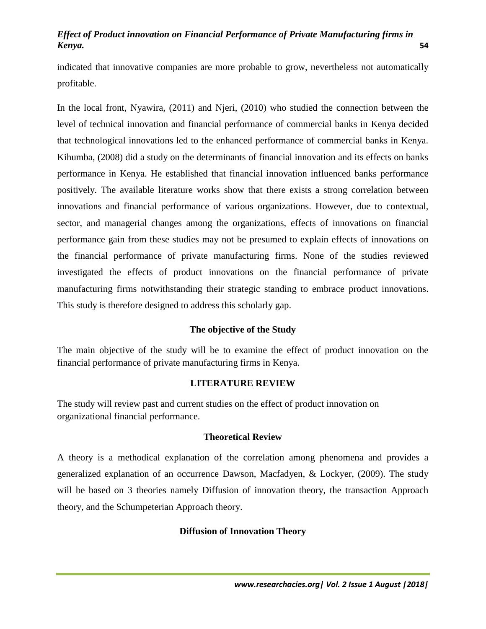indicated that innovative companies are more probable to grow, nevertheless not automatically profitable.

In the local front, Nyawira, (2011) and Njeri, (2010) who studied the connection between the level of technical innovation and financial performance of commercial banks in Kenya decided that technological innovations led to the enhanced performance of commercial banks in Kenya. Kihumba, (2008) did a study on the determinants of financial innovation and its effects on banks performance in Kenya. He established that financial innovation influenced banks performance positively. The available literature works show that there exists a strong correlation between innovations and financial performance of various organizations. However, due to contextual, sector, and managerial changes among the organizations, effects of innovations on financial performance gain from these studies may not be presumed to explain effects of innovations on the financial performance of private manufacturing firms. None of the studies reviewed investigated the effects of product innovations on the financial performance of private manufacturing firms notwithstanding their strategic standing to embrace product innovations. This study is therefore designed to address this scholarly gap.

# **The objective of the Study**

The main objective of the study will be to examine the effect of product innovation on the financial performance of private manufacturing firms in Kenya.

## **LITERATURE REVIEW**

The study will review past and current studies on the effect of product innovation on organizational financial performance.

## **Theoretical Review**

A theory is a methodical explanation of the correlation among phenomena and provides a generalized explanation of an occurrence Dawson, Macfadyen, & Lockyer, (2009). The study will be based on 3 theories namely Diffusion of innovation theory, the transaction Approach theory, and the Schumpeterian Approach theory.

## **Diffusion of Innovation Theory**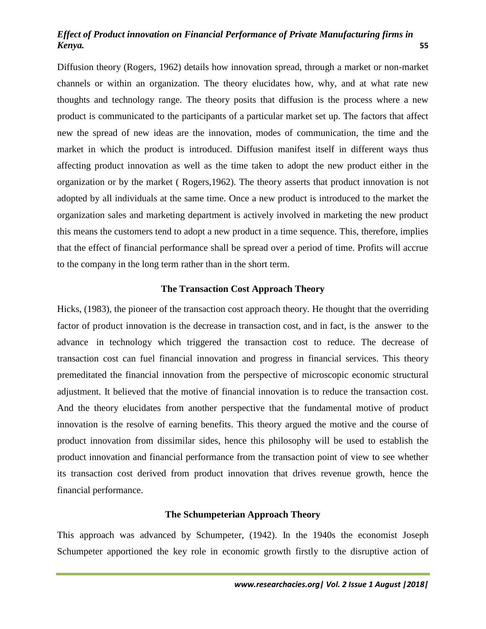Diffusion theory (Rogers, 1962) details how innovation spread, through a market or non-market channels or within an organization. The theory elucidates how, why, and at what rate new thoughts and technology range. The theory posits that diffusion is the process where a new product is communicated to the participants of a particular market set up. The factors that affect new the spread of new ideas are the innovation, modes of communication, the time and the market in which the product is introduced. Diffusion manifest itself in different ways thus affecting product innovation as well as the time taken to adopt the new product either in the organization or by the market ( Rogers,1962). The theory asserts that product innovation is not adopted by all individuals at the same time. Once a new product is introduced to the market the organization sales and marketing department is actively involved in marketing the new product this means the customers tend to adopt a new product in a time sequence. This, therefore, implies that the effect of financial performance shall be spread over a period of time. Profits will accrue to the company in the long term rather than in the short term.

## **The Transaction Cost Approach Theory**

Hicks, (1983), the pioneer of the transaction cost approach theory. He thought that the overriding factor of product innovation is the decrease in transaction cost, and in fact, is the answer to the advance in technology which triggered the transaction cost to reduce. The decrease of transaction cost can fuel financial innovation and progress in financial services. This theory premeditated the financial innovation from the perspective of microscopic economic structural adjustment. It believed that the motive of financial innovation is to reduce the transaction cost. And the theory elucidates from another perspective that the fundamental motive of product innovation is the resolve of earning benefits. This theory argued the motive and the course of product innovation from dissimilar sides, hence this philosophy will be used to establish the product innovation and financial performance from the transaction point of view to see whether its transaction cost derived from product innovation that drives revenue growth, hence the financial performance.

### **The Schumpeterian Approach Theory**

This approach was advanced by Schumpeter, (1942). In the 1940s the economist Joseph Schumpeter apportioned the key role in economic growth firstly to the disruptive action of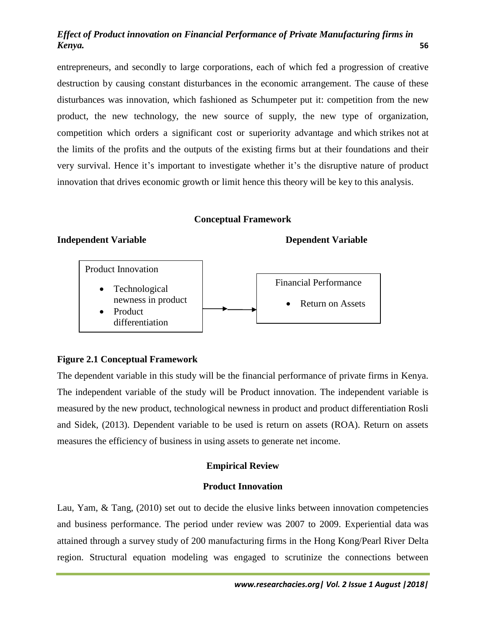entrepreneurs, and secondly to large corporations, each of which fed a progression of creative destruction by causing constant disturbances in the economic arrangement. The cause of these disturbances was innovation, which fashioned as Schumpeter put it: competition from the new product, the new technology, the new source of supply, the new type of organization, competition which orders a significant cost or superiority advantage and which strikes not at the limits of the profits and the outputs of the existing firms but at their foundations and their very survival. Hence it's important to investigate whether it's the disruptive nature of product innovation that drives economic growth or limit hence this theory will be key to this analysis.

### **Conceptual Framework**

# **Independent Variable Dependent Variable** Financial Performance Return on Assets Product Innovation Technological newness in product Product differentiation

## **Figure 2.1 Conceptual Framework**

The dependent variable in this study will be the financial performance of private firms in Kenya. The independent variable of the study will be Product innovation. The independent variable is measured by the new product, technological newness in product and product differentiation Rosli and Sidek, (2013). Dependent variable to be used is return on assets (ROA). Return on assets measures the efficiency of business in using assets to generate net income.

### **Empirical Review**

### **Product Innovation**

Lau, Yam, & Tang, (2010) set out to decide the elusive links between innovation competencies and business performance. The period under review was 2007 to 2009. Experiential data was attained through a survey study of 200 manufacturing firms in the Hong Kong/Pearl River Delta region. Structural equation modeling was engaged to scrutinize the connections between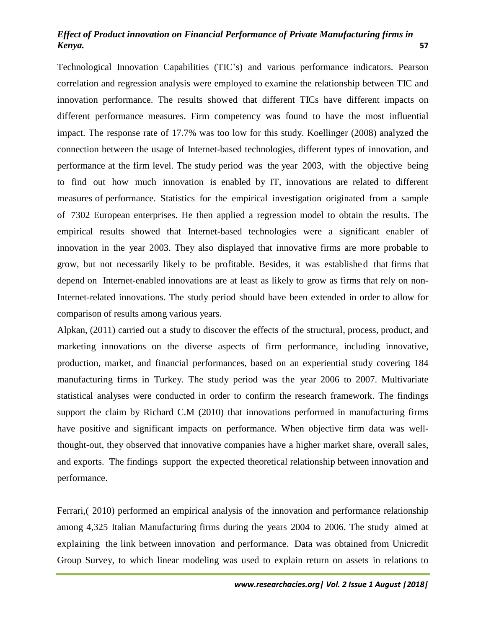Technological Innovation Capabilities (TIC's) and various performance indicators. Pearson correlation and regression analysis were employed to examine the relationship between TIC and innovation performance. The results showed that different TICs have different impacts on different performance measures. Firm competency was found to have the most influential impact. The response rate of 17.7% was too low for this study. Koellinger (2008) analyzed the connection between the usage of Internet-based technologies, different types of innovation, and performance at the firm level. The study period was the year 2003, with the objective being to find out how much innovation is enabled by IT, innovations are related to different measures of performance. Statistics for the empirical investigation originated from a sample of 7302 European enterprises. He then applied a regression model to obtain the results. The empirical results showed that Internet-based technologies were a significant enabler of innovation in the year 2003. They also displayed that innovative firms are more probable to grow, but not necessarily likely to be profitable. Besides, it was establishe d that firms that depend on Internet-enabled innovations are at least as likely to grow as firms that rely on non-Internet-related innovations. The study period should have been extended in order to allow for comparison of results among various years.

Alpkan, (2011) carried out a study to discover the effects of the structural, process, product, and marketing innovations on the diverse aspects of firm performance, including innovative, production, market, and financial performances, based on an experiential study covering 184 manufacturing firms in Turkey. The study period was the year 2006 to 2007. Multivariate statistical analyses were conducted in order to confirm the research framework. The findings support the claim by Richard C.M (2010) that innovations performed in manufacturing firms have positive and significant impacts on performance. When objective firm data was wellthought-out, they observed that innovative companies have a higher market share, overall sales, and exports. The findings support the expected theoretical relationship between innovation and performance.

Ferrari,( 2010) performed an empirical analysis of the innovation and performance relationship among 4,325 Italian Manufacturing firms during the years 2004 to 2006. The study aimed at explaining the link between innovation and performance. Data was obtained from Unicredit Group Survey, to which linear modeling was used to explain return on assets in relations to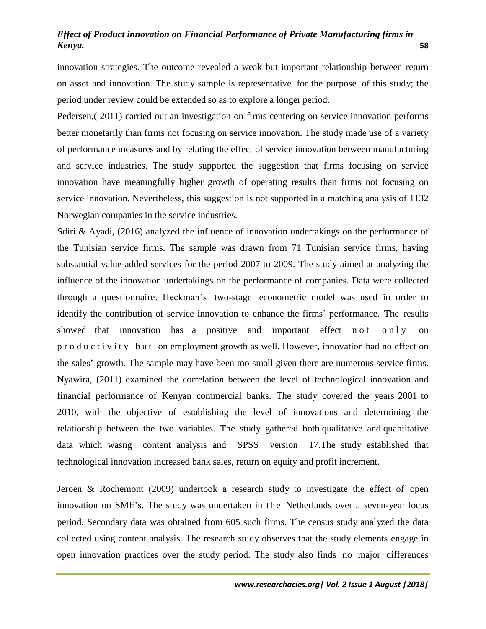innovation strategies. The outcome revealed a weak but important relationship between return on asset and innovation. The study sample is representative for the purpose of this study; the period under review could be extended so as to explore a longer period.

Pedersen,( 2011) carried out an investigation on firms centering on service innovation performs better monetarily than firms not focusing on service innovation. The study made use of a variety of performance measures and by relating the effect of service innovation between manufacturing and service industries. The study supported the suggestion that firms focusing on service innovation have meaningfully higher growth of operating results than firms not focusing on service innovation. Nevertheless, this suggestion is not supported in a matching analysis of 1132 Norwegian companies in the service industries.

Sdiri & Ayadi, (2016) analyzed the influence of innovation undertakings on the performance of the Tunisian service firms. The sample was drawn from 71 Tunisian service firms, having substantial value-added services for the period 2007 to 2009. The study aimed at analyzing the influence of the innovation undertakings on the performance of companies. Data were collected through a questionnaire. Heckman's two-stage econometric model was used in order to identify the contribution of service innovation to enhance the firms' performance. The results showed that innovation has a positive and important effect n o t o n l y on p r o d u c t i v i t y b u t on employment growth as well. However, innovation had no effect on the sales' growth. The sample may have been too small given there are numerous service firms. Nyawira, (2011) examined the correlation between the level of technological innovation and financial performance of Kenyan commercial banks. The study covered the years 2001 to 2010, with the objective of establishing the level of innovations and determining the relationship between the two variables. The study gathered both qualitative and quantitative data which wasng content analysis and SPSS version 17.The study established that technological innovation increased bank sales, return on equity and profit increment.

Jeroen & Rochemont (2009) undertook a research study to investigate the effect of open innovation on SME's. The study was undertaken in the Netherlands over a seven-year focus period. Secondary data was obtained from 605 such firms. The census study analyzed the data collected using content analysis. The research study observes that the study elements engage in open innovation practices over the study period. The study also finds no major differences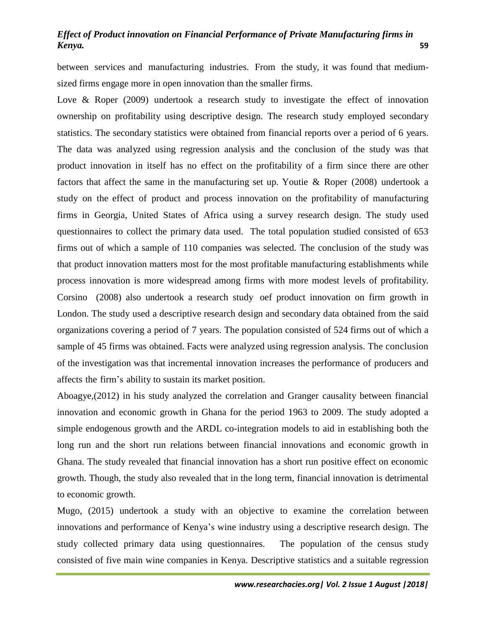between services and manufacturing industries. From the study, it was found that mediumsized firms engage more in open innovation than the smaller firms.

Love & Roper (2009) undertook a research study to investigate the effect of innovation ownership on profitability using descriptive design. The research study employed secondary statistics. The secondary statistics were obtained from financial reports over a period of 6 years. The data was analyzed using regression analysis and the conclusion of the study was that product innovation in itself has no effect on the profitability of a firm since there are other factors that affect the same in the manufacturing set up. Youtie & Roper (2008) undertook a study on the effect of product and process innovation on the profitability of manufacturing firms in Georgia, United States of Africa using a survey research design. The study used questionnaires to collect the primary data used. The total population studied consisted of 653 firms out of which a sample of 110 companies was selected. The conclusion of the study was that product innovation matters most for the most profitable manufacturing establishments while process innovation is more widespread among firms with more modest levels of profitability. Corsino (2008) also undertook a research study oef product innovation on firm growth in London. The study used a descriptive research design and secondary data obtained from the said organizations covering a period of 7 years. The population consisted of 524 firms out of which a sample of 45 firms was obtained. Facts were analyzed using regression analysis. The conclusion of the investigation was that incremental innovation increases the performance of producers and affects the firm's ability to sustain its market position.

Aboagye,(2012) in his study analyzed the correlation and Granger causality between financial innovation and economic growth in Ghana for the period 1963 to 2009. The study adopted a simple endogenous growth and the ARDL co-integration models to aid in establishing both the long run and the short run relations between financial innovations and economic growth in Ghana. The study revealed that financial innovation has a short run positive effect on economic growth. Though, the study also revealed that in the long term, financial innovation is detrimental to economic growth.

Mugo, (2015) undertook a study with an objective to examine the correlation between innovations and performance of Kenya's wine industry using a descriptive research design. The study collected primary data using questionnaires. The population of the census study consisted of five main wine companies in Kenya. Descriptive statistics and a suitable regression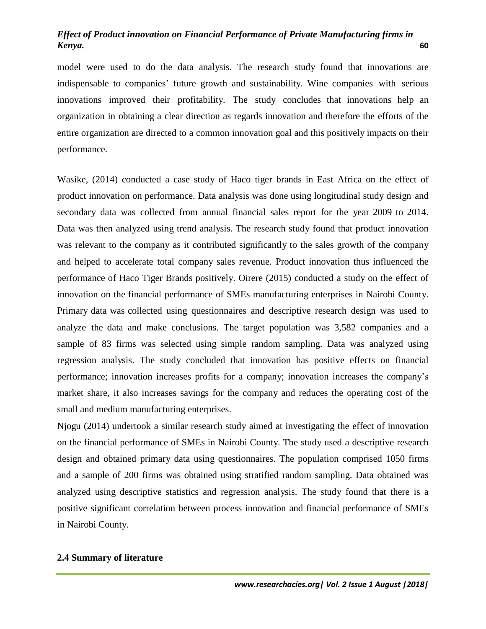model were used to do the data analysis. The research study found that innovations are indispensable to companies' future growth and sustainability. Wine companies with serious innovations improved their profitability. The study concludes that innovations help an organization in obtaining a clear direction as regards innovation and therefore the efforts of the entire organization are directed to a common innovation goal and this positively impacts on their performance.

Wasike, (2014) conducted a case study of Haco tiger brands in East Africa on the effect of product innovation on performance. Data analysis was done using longitudinal study design and secondary data was collected from annual financial sales report for the year 2009 to 2014. Data was then analyzed using trend analysis. The research study found that product innovation was relevant to the company as it contributed significantly to the sales growth of the company and helped to accelerate total company sales revenue. Product innovation thus influenced the performance of Haco Tiger Brands positively. Oirere (2015) conducted a study on the effect of innovation on the financial performance of SMEs manufacturing enterprises in Nairobi County. Primary data was collected using questionnaires and descriptive research design was used to analyze the data and make conclusions. The target population was 3,582 companies and a sample of 83 firms was selected using simple random sampling. Data was analyzed using regression analysis. The study concluded that innovation has positive effects on financial performance; innovation increases profits for a company; innovation increases the company's market share, it also increases savings for the company and reduces the operating cost of the small and medium manufacturing enterprises.

Njogu (2014) undertook a similar research study aimed at investigating the effect of innovation on the financial performance of SMEs in Nairobi County. The study used a descriptive research design and obtained primary data using questionnaires. The population comprised 1050 firms and a sample of 200 firms was obtained using stratified random sampling. Data obtained was analyzed using descriptive statistics and regression analysis. The study found that there is a positive significant correlation between process innovation and financial performance of SMEs in Nairobi County.

#### **2.4 Summary of literature**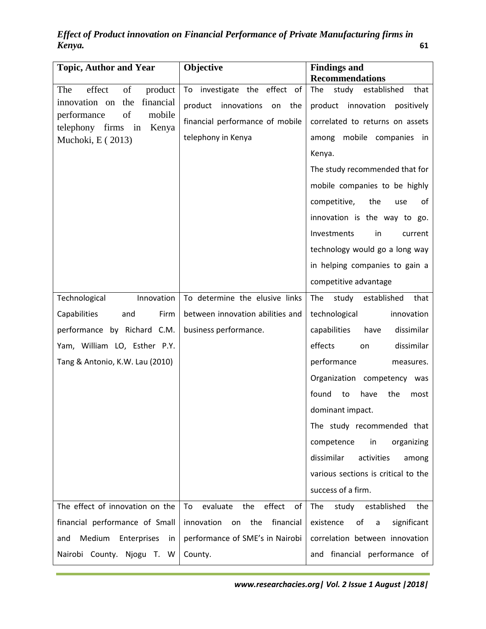*Effect of Product innovation on Financial Performance of Private Manufacturing firms in Kenya.* **61**

| <b>Topic, Author and Year</b>                                       | Objective                             | <b>Findings and</b>                 |
|---------------------------------------------------------------------|---------------------------------------|-------------------------------------|
|                                                                     |                                       | <b>Recommendations</b>              |
| effect<br>of<br>The<br>product<br>financial<br>innovation on<br>the | investigate the effect of<br>To       | The<br>study<br>established<br>that |
| of<br>mobile<br>performance                                         | product<br>innovations<br>on<br>the   | product<br>innovation<br>positively |
| telephony<br>firms<br>in<br>Kenya                                   | financial performance of mobile       | correlated to returns on assets     |
| Muchoki, E (2013)                                                   | telephony in Kenya                    | mobile companies in<br>among        |
|                                                                     |                                       | Kenya.                              |
|                                                                     |                                       | The study recommended that for      |
|                                                                     |                                       | mobile companies to be highly       |
|                                                                     |                                       | competitive,<br>the<br>use<br>οf    |
|                                                                     |                                       | innovation is the way to go.        |
|                                                                     |                                       | Investments<br>in<br>current        |
|                                                                     |                                       | technology would go a long way      |
|                                                                     |                                       | in helping companies to gain a      |
|                                                                     |                                       | competitive advantage               |
| Technological<br>Innovation                                         | To determine the elusive links        | established<br>The<br>study<br>that |
| Capabilities<br>Firm<br>and                                         | between innovation abilities and      | technological<br>innovation         |
| performance by Richard C.M.                                         | business performance.                 | capabilities<br>dissimilar<br>have  |
| Yam, William LO, Esther P.Y.                                        |                                       | effects<br>dissimilar<br>on         |
| Tang & Antonio, K.W. Lau (2010)                                     |                                       | performance<br>measures.            |
|                                                                     |                                       | Organization competency was         |
|                                                                     |                                       | found<br>to<br>have<br>the<br>most  |
|                                                                     |                                       | dominant impact.                    |
|                                                                     |                                       | The study recommended that          |
|                                                                     |                                       | competence<br>in<br>organizing      |
|                                                                     |                                       | dissimilar<br>activities<br>among   |
|                                                                     |                                       | various sections is critical to the |
|                                                                     |                                       | success of a firm.                  |
| The effect of innovation on the                                     | evaluate<br>effect<br>To<br>the<br>οf | study established<br>The<br>the     |
| financial performance of Small                                      | financial<br>innovation<br>the<br>on  | existence<br>of<br>significant<br>a |
| Medium<br>Enterprises<br>and<br><i>in</i>                           | performance of SME's in Nairobi       | correlation between innovation      |
| Nairobi County. Njogu T. W                                          | County.                               | and financial performance of        |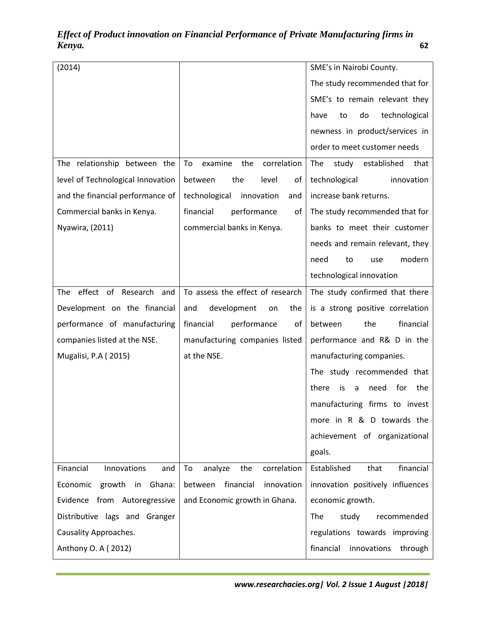| (2014)                            |                                     | SME's in Nairobi County.               |
|-----------------------------------|-------------------------------------|----------------------------------------|
|                                   |                                     | The study recommended that for         |
|                                   |                                     | SME's to remain relevant they          |
|                                   |                                     | do<br>technological<br>have<br>to      |
|                                   |                                     | newness in product/services in         |
|                                   |                                     | order to meet customer needs           |
| The relationship between the      | correlation<br>To<br>examine<br>the | The<br>study established<br>that       |
| level of Technological Innovation | the<br>level<br>of<br>between       | technological<br>innovation            |
| and the financial performance of  | technological<br>innovation<br>and  | increase bank returns.                 |
| Commercial banks in Kenya.        | financial<br>performance<br>οf      | The study recommended that for         |
| Nyawira, (2011)                   | commercial banks in Kenya.          | banks to meet their customer           |
|                                   |                                     | needs and remain relevant, they        |
|                                   |                                     | modern<br>need<br>to<br>use            |
|                                   |                                     | technological innovation               |
| effect of Research<br>The<br>and  | To assess the effect of research    | The study confirmed that there         |
| Development on the financial      | development<br>and<br>the<br>on     | is a strong positive correlation       |
| performance of manufacturing      | performance<br>financial<br>of      | financial<br>between<br>the            |
| companies listed at the NSE.      | manufacturing companies listed      | performance and R& D in the            |
| Mugalisi, P.A (2015)              | at the NSE.                         | manufacturing companies.               |
|                                   |                                     | The study recommended that             |
|                                   |                                     | for<br>the<br>there<br>is<br>need<br>a |
|                                   |                                     | manufacturing firms to invest          |
|                                   |                                     | more in R & D towards the              |
|                                   |                                     | achievement of organizational          |
|                                   |                                     | goals.                                 |
| Financial<br>Innovations<br>and   | correlation<br>To<br>analyze<br>the | financial<br>Established<br>that       |
| growth in Ghana:<br>Economic      | between<br>financial<br>innovation  | innovation positively influences       |
| Evidence from Autoregressive      | and Economic growth in Ghana.       | economic growth.                       |
| Distributive lags and Granger     |                                     | The<br>study<br>recommended            |
| Causality Approaches.             |                                     | regulations towards improving          |
| Anthony O. A (2012)               |                                     | financial innovations through          |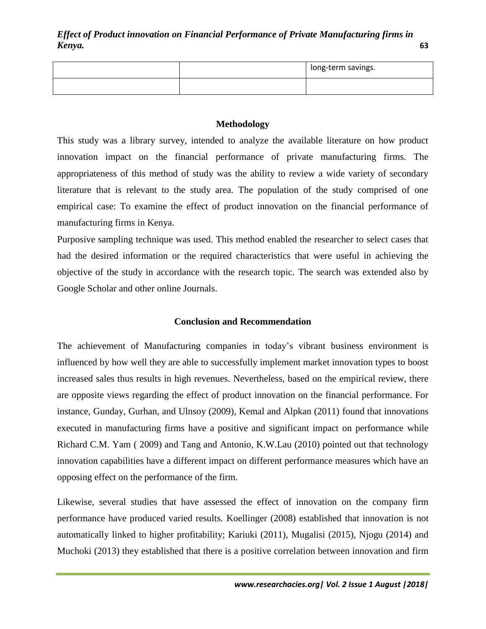|  | long-term savings. |
|--|--------------------|
|  |                    |

### **Methodology**

This study was a library survey, intended to analyze the available literature on how product innovation impact on the financial performance of private manufacturing firms. The appropriateness of this method of study was the ability to review a wide variety of secondary literature that is relevant to the study area. The population of the study comprised of one empirical case: To examine the effect of product innovation on the financial performance of manufacturing firms in Kenya.

Purposive sampling technique was used. This method enabled the researcher to select cases that had the desired information or the required characteristics that were useful in achieving the objective of the study in accordance with the research topic. The search was extended also by Google Scholar and other online Journals.

### **Conclusion and Recommendation**

The achievement of Manufacturing companies in today's vibrant business environment is influenced by how well they are able to successfully implement market innovation types to boost increased sales thus results in high revenues. Nevertheless, based on the empirical review, there are opposite views regarding the effect of product innovation on the financial performance. For instance, Gunday, Gurhan, and Ulnsoy (2009), Kemal and Alpkan (2011) found that innovations executed in manufacturing firms have a positive and significant impact on performance while Richard C.M. Yam ( 2009) and Tang and Antonio, K.W.Lau (2010) pointed out that technology innovation capabilities have a different impact on different performance measures which have an opposing effect on the performance of the firm.

Likewise, several studies that have assessed the effect of innovation on the company firm performance have produced varied results. Koellinger (2008) established that innovation is not automatically linked to higher profitability; Kariuki (2011), Mugalisi (2015), Njogu (2014) and Muchoki (2013) they established that there is a positive correlation between innovation and firm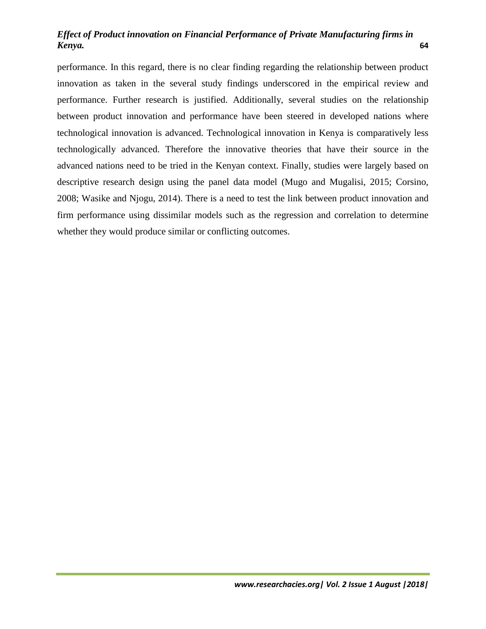performance. In this regard, there is no clear finding regarding the relationship between product innovation as taken in the several study findings underscored in the empirical review and performance. Further research is justified. Additionally, several studies on the relationship between product innovation and performance have been steered in developed nations where technological innovation is advanced. Technological innovation in Kenya is comparatively less technologically advanced. Therefore the innovative theories that have their source in the advanced nations need to be tried in the Kenyan context. Finally, studies were largely based on descriptive research design using the panel data model (Mugo and Mugalisi, 2015; Corsino, 2008; Wasike and Njogu, 2014). There is a need to test the link between product innovation and firm performance using dissimilar models such as the regression and correlation to determine whether they would produce similar or conflicting outcomes.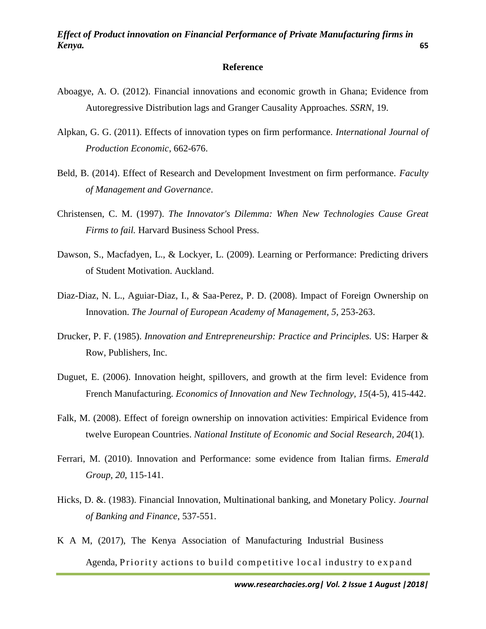#### **Reference**

- Aboagye, A. O. (2012). Financial innovations and economic growth in Ghana; Evidence from Autoregressive Distribution lags and Granger Causality Approaches. *SSRN*, 19.
- Alpkan, G. G. (2011). Effects of innovation types on firm performance. *International Journal of Production Economic*, 662-676.
- Beld, B. (2014). Effect of Research and Development Investment on firm performance. *Faculty of Management and Governance*.
- Christensen, C. M. (1997). *The Innovator's Dilemma: When New Technologies Cause Great Firms to fail.* Harvard Business School Press.
- Dawson, S., Macfadyen, L., & Lockyer, L. (2009). Learning or Performance: Predicting drivers of Student Motivation. Auckland.
- Diaz-Diaz, N. L., Aguiar-Diaz, I., & Saa-Perez, P. D. (2008). Impact of Foreign Ownership on Innovation. *The Journal of European Academy of Management, 5*, 253-263.
- Drucker, P. F. (1985). *Innovation and Entrepreneurship: Practice and Principles.* US: Harper & Row, Publishers, Inc.
- Duguet, E. (2006). Innovation height, spillovers, and growth at the firm level: Evidence from French Manufacturing. *Economics of Innovation and New Technology, 15*(4-5), 415-442.
- Falk, M. (2008). Effect of foreign ownership on innovation activities: Empirical Evidence from twelve European Countries. *National Institute of Economic and Social Research, 204*(1).
- Ferrari, M. (2010). Innovation and Performance: some evidence from Italian firms. *Emerald Group, 20*, 115-141.
- Hicks, D. &. (1983). Financial Innovation, Multinational banking, and Monetary Policy. *Journal of Banking and Finance*, 537-551.
- K A M, (2017), The Kenya Association of Manufacturing Industrial Business Agenda, Priority actions to build competitive local industry to expand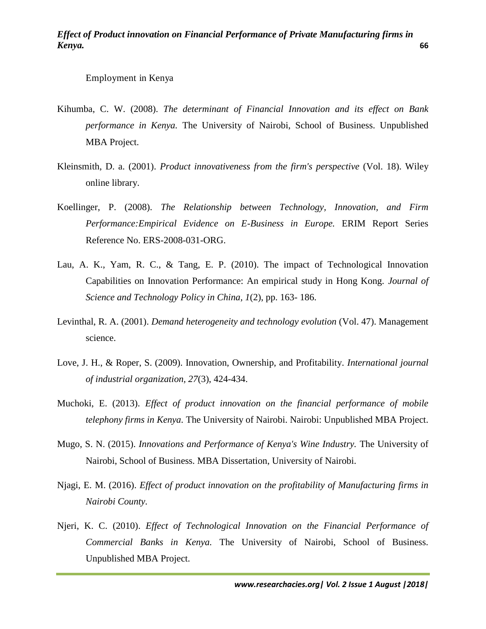### Employment in Kenya

- Kihumba, C. W. (2008). *The determinant of Financial Innovation and its effect on Bank performance in Kenya.* The University of Nairobi, School of Business. Unpublished MBA Project.
- Kleinsmith, D. a. (2001). *Product innovativeness from the firm's perspective* (Vol. 18). Wiley online library.
- Koellinger, P. (2008). *The Relationship between Technology, Innovation, and Firm Performance:Empirical Evidence on E-Business in Europe.* ERIM Report Series Reference No. ERS-2008-031-ORG.
- Lau, A. K., Yam, R. C., & Tang, E. P. (2010). The impact of Technological Innovation Capabilities on Innovation Performance: An empirical study in Hong Kong. *Journal of Science and Technology Policy in China, 1*(2), pp. 163- 186.
- Levinthal, R. A. (2001). *Demand heterogeneity and technology evolution* (Vol. 47). Management science.
- Love, J. H., & Roper, S. (2009). Innovation, Ownership, and Profitability. *International journal of industrial organization, 27*(3), 424-434.
- Muchoki, E. (2013). *Effect of product innovation on the financial performance of mobile telephony firms in Kenya.* The University of Nairobi. Nairobi: Unpublished MBA Project.
- Mugo, S. N. (2015). *Innovations and Performance of Kenya's Wine Industry.* The University of Nairobi, School of Business. MBA Dissertation, University of Nairobi.
- Njagi, E. M. (2016). *Effect of product innovation on the profitability of Manufacturing firms in Nairobi County.*
- Njeri, K. C. (2010). *Effect of Technological Innovation on the Financial Performance of Commercial Banks in Kenya.* The University of Nairobi, School of Business. Unpublished MBA Project.